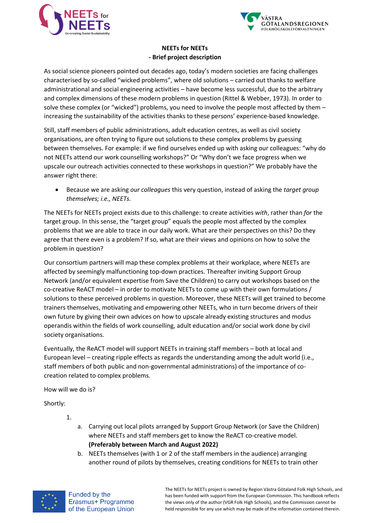



## **NEETs for NEETs - Brief project description**

As social science pioneers pointed out decades ago, today's modern societies are facing challenges characterised by so-called "wicked problems", where old solutions – carried out thanks to welfare administrational and social engineering activities – have become less successful, due to the arbitrary and complex dimensions of these modern problems in question (Rittel & Webber, 1973). In order to solve these complex (or "wicked") problems, you need to involve the people most affected by them – increasing the sustainability of the activities thanks to these persons' experience-based knowledge.

Still, staff members of public administrations, adult education centres, as well as civil society organisations, are often trying to figure out solutions to these complex problems by guessing between themselves. For example: if we find ourselves ended up with asking our colleagues: "why do not NEETs attend our work counselling workshops?" Or "Why don't we face progress when we upscale our outreach activities connected to these workshops in question?" We probably have the answer right there:

• Because we are asking *our colleagues* this very question, instead of asking the *target group themselves; i.e., NEETs.* 

The NEETs for NEETs project exists due to this challenge: to create activities *with*, rather than *for* the target group. In this sense, the "target group" equals the people most affected by the complex problems that we are able to trace in our daily work. What are their perspectives on this? Do they agree that there even is a problem? If so, what are their views and opinions on how to solve the problem in question?

Our consortium partners will map these complex problems at their workplace, where NEETs are affected by seemingly malfunctioning top-down practices. Thereafter inviting Support Group Network (and/or equivalent expertise from Save the Children) to carry out workshops based on the co-creative ReACT model – in order to motivate NEETs to come up with their own formulations / solutions to these perceived problems in question. Moreover, these NEETs will get trained to become trainers themselves, motivating and empowering other NEETs, who in turn become drivers of their own future by giving their own advices on how to upscale already existing structures and modus operandis within the fields of work counselling, adult education and/or social work done by civil society organisations.

Eventually, the ReACT model will support NEETs in training staff members – both at local and European level – creating ripple effects as regards the understanding among the adult world (i.e., staff members of both public and non-governmental administrations) of the importance of cocreation related to complex problems.

How will we do is?

Shortly:

- 1.
- a. Carrying out local pilots arranged by Support Group Network (or Save the Children) where NEETs and staff members get to know the ReACT co-creative model. **(Preferably between March and August 2022)**
- b. NEETs themselves (with 1 or 2 of the staff members in the audience) arranging another round of pilots by themselves, creating conditions for NEETs to train other